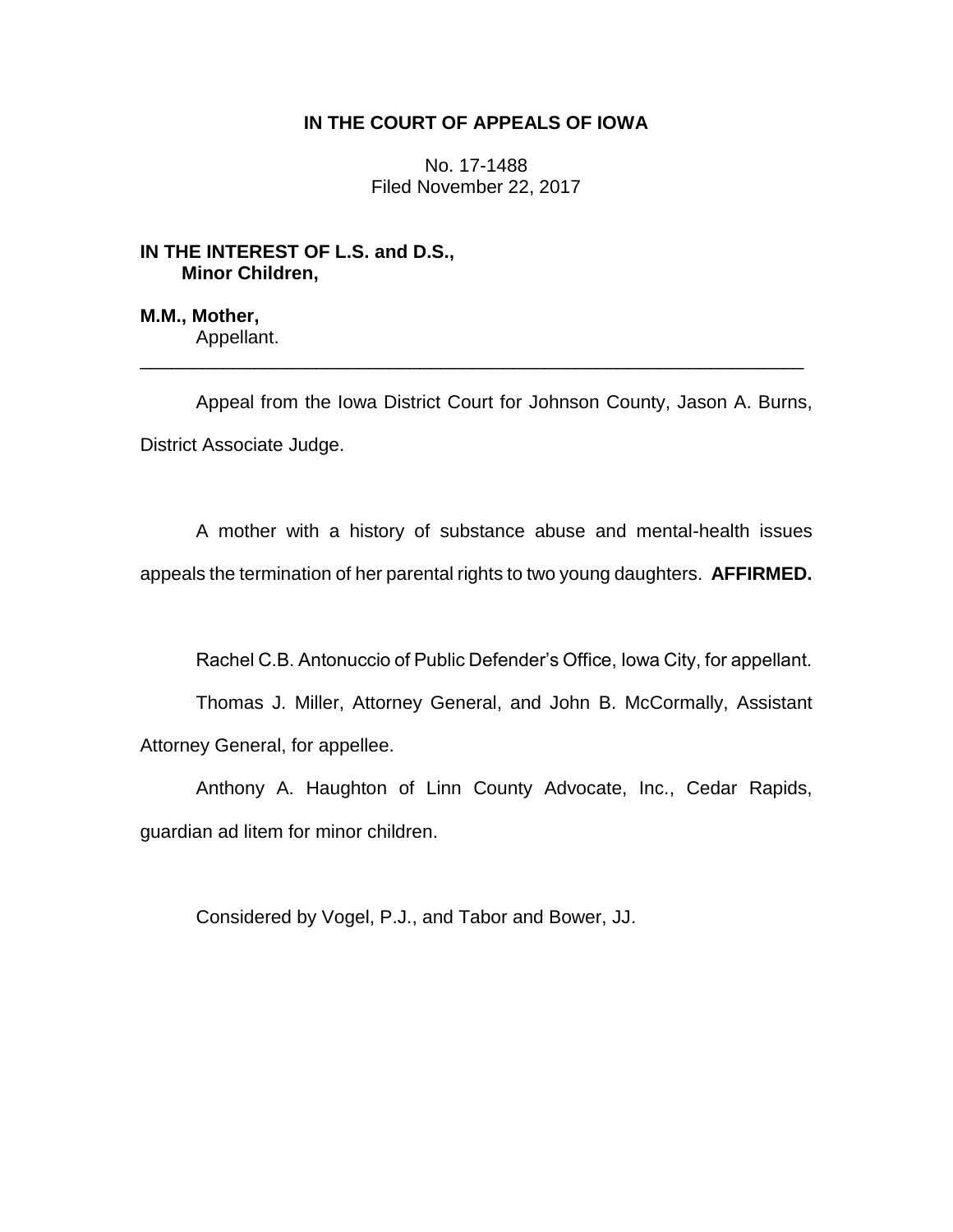# **IN THE COURT OF APPEALS OF IOWA**

No. 17-1488 Filed November 22, 2017

# **IN THE INTEREST OF L.S. and D.S., Minor Children,**

**M.M., Mother,** Appellant.

Appeal from the Iowa District Court for Johnson County, Jason A. Burns, District Associate Judge.

\_\_\_\_\_\_\_\_\_\_\_\_\_\_\_\_\_\_\_\_\_\_\_\_\_\_\_\_\_\_\_\_\_\_\_\_\_\_\_\_\_\_\_\_\_\_\_\_\_\_\_\_\_\_\_\_\_\_\_\_\_\_\_\_

A mother with a history of substance abuse and mental-health issues appeals the termination of her parental rights to two young daughters. **AFFIRMED.**

Rachel C.B. Antonuccio of Public Defender's Office, Iowa City, for appellant.

Thomas J. Miller, Attorney General, and John B. McCormally, Assistant Attorney General, for appellee.

Anthony A. Haughton of Linn County Advocate, Inc., Cedar Rapids, guardian ad litem for minor children.

Considered by Vogel, P.J., and Tabor and Bower, JJ.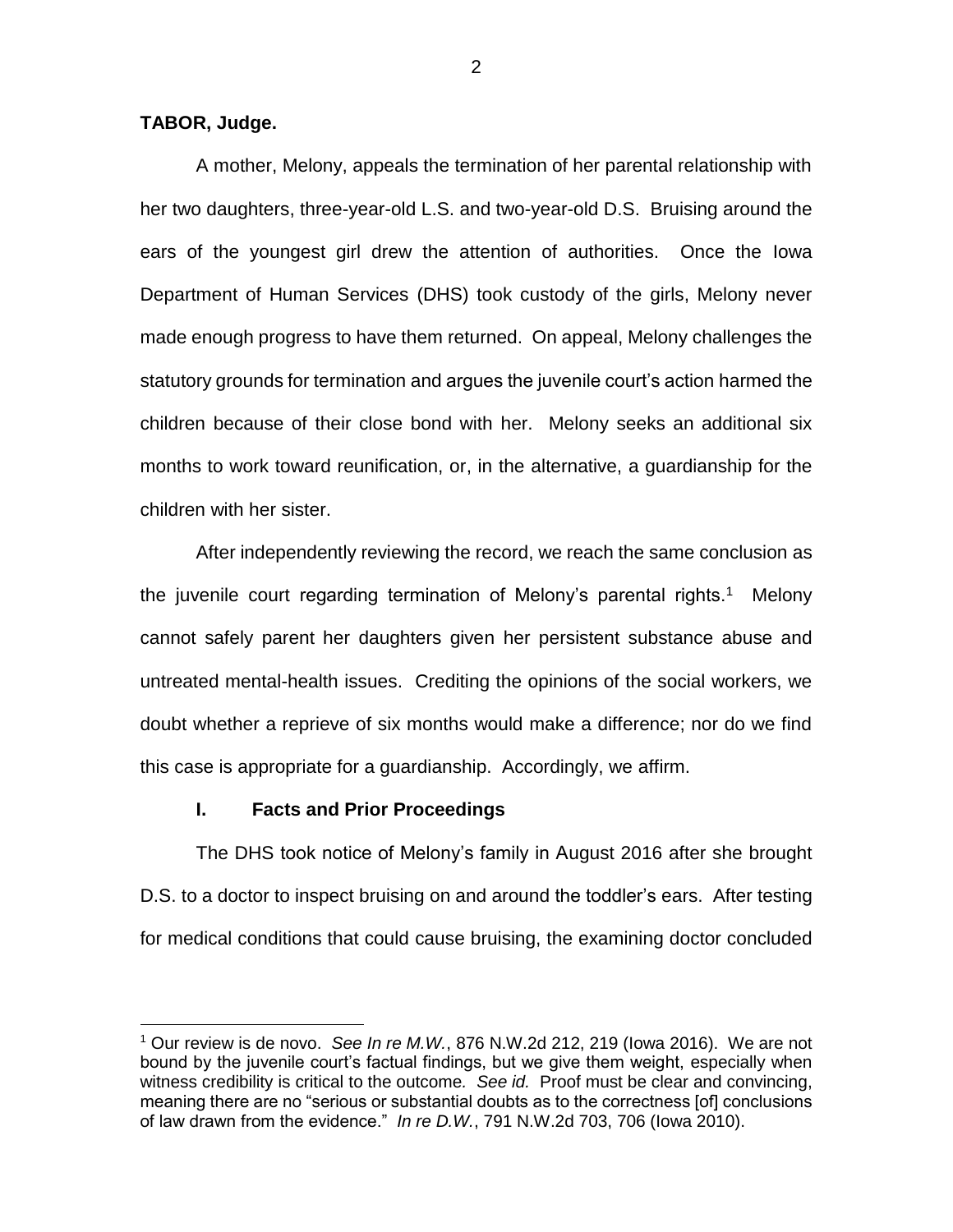**TABOR, Judge.**

 $\overline{a}$ 

A mother, Melony, appeals the termination of her parental relationship with her two daughters, three-year-old L.S. and two-year-old D.S. Bruising around the ears of the youngest girl drew the attention of authorities. Once the Iowa Department of Human Services (DHS) took custody of the girls, Melony never made enough progress to have them returned. On appeal, Melony challenges the statutory grounds for termination and argues the juvenile court's action harmed the children because of their close bond with her. Melony seeks an additional six months to work toward reunification, or, in the alternative, a guardianship for the children with her sister.

After independently reviewing the record, we reach the same conclusion as the juvenile court regarding termination of Melony's parental rights.<sup>1</sup> Melony cannot safely parent her daughters given her persistent substance abuse and untreated mental-health issues. Crediting the opinions of the social workers, we doubt whether a reprieve of six months would make a difference; nor do we find this case is appropriate for a guardianship. Accordingly, we affirm.

# **I. Facts and Prior Proceedings**

The DHS took notice of Melony's family in August 2016 after she brought D.S. to a doctor to inspect bruising on and around the toddler's ears. After testing for medical conditions that could cause bruising, the examining doctor concluded

2

<sup>1</sup> Our review is de novo. *See In re M.W.*, 876 N.W.2d 212, 219 (Iowa 2016). We are not bound by the juvenile court's factual findings, but we give them weight, especially when witness credibility is critical to the outcome*. See id.* Proof must be clear and convincing, meaning there are no "serious or substantial doubts as to the correctness [of] conclusions of law drawn from the evidence." *In re D.W.*, 791 N.W.2d 703, 706 (Iowa 2010).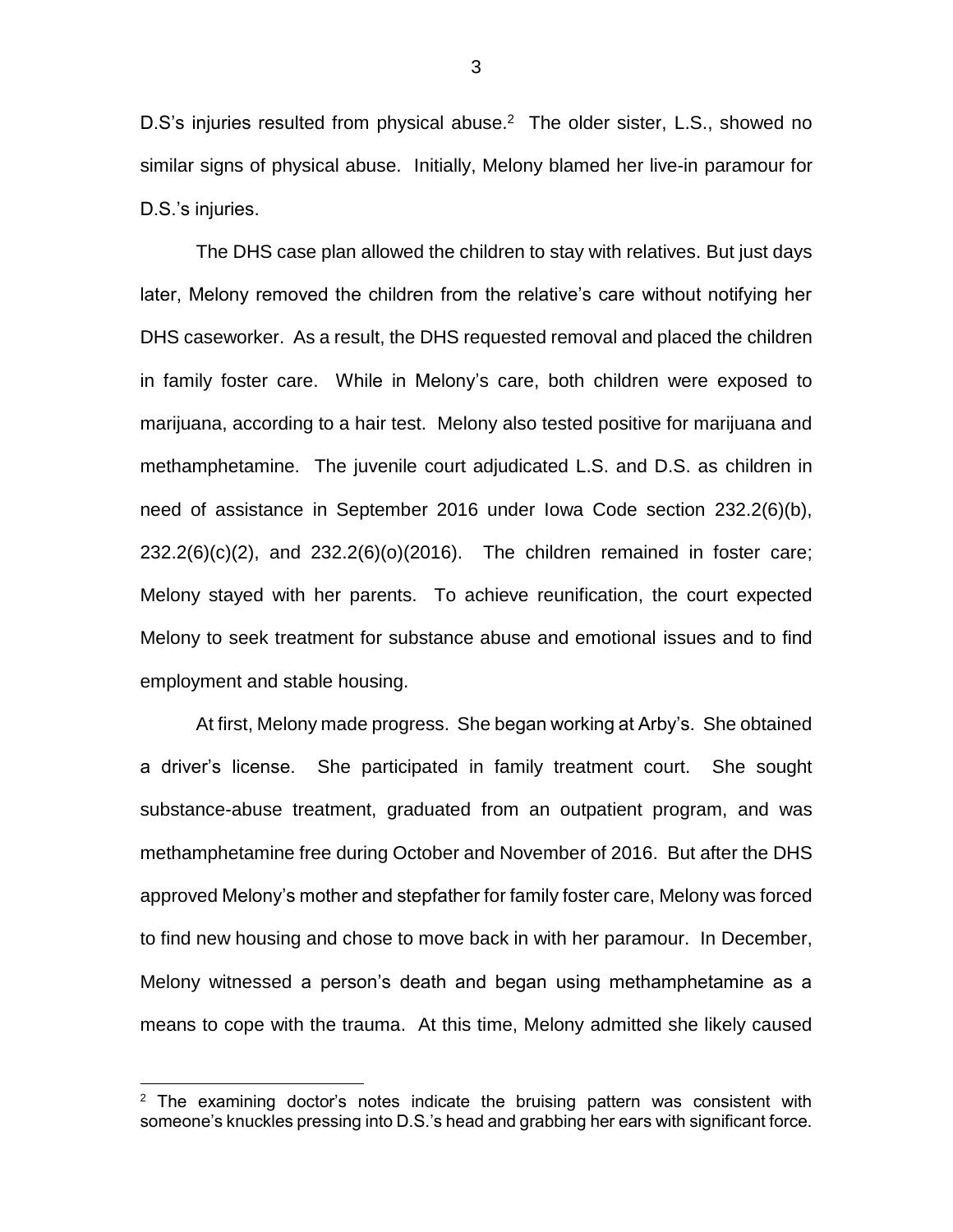D.S's injuries resulted from physical abuse.<sup>2</sup> The older sister, L.S., showed no similar signs of physical abuse. Initially, Melony blamed her live-in paramour for D.S.'s injuries.

The DHS case plan allowed the children to stay with relatives. But just days later, Melony removed the children from the relative's care without notifying her DHS caseworker. As a result, the DHS requested removal and placed the children in family foster care. While in Melony's care, both children were exposed to marijuana, according to a hair test. Melony also tested positive for marijuana and methamphetamine. The juvenile court adjudicated L.S. and D.S. as children in need of assistance in September 2016 under Iowa Code section 232.2(6)(b), 232.2(6)(c)(2), and 232.2(6)(o)(2016). The children remained in foster care; Melony stayed with her parents. To achieve reunification, the court expected Melony to seek treatment for substance abuse and emotional issues and to find employment and stable housing.

At first, Melony made progress. She began working at Arby's. She obtained a driver's license. She participated in family treatment court. She sought substance-abuse treatment, graduated from an outpatient program, and was methamphetamine free during October and November of 2016. But after the DHS approved Melony's mother and stepfather for family foster care, Melony was forced to find new housing and chose to move back in with her paramour. In December, Melony witnessed a person's death and began using methamphetamine as a means to cope with the trauma. At this time, Melony admitted she likely caused

 $\overline{a}$ 

 $2$  The examining doctor's notes indicate the bruising pattern was consistent with someone's knuckles pressing into D.S.'s head and grabbing her ears with significant force.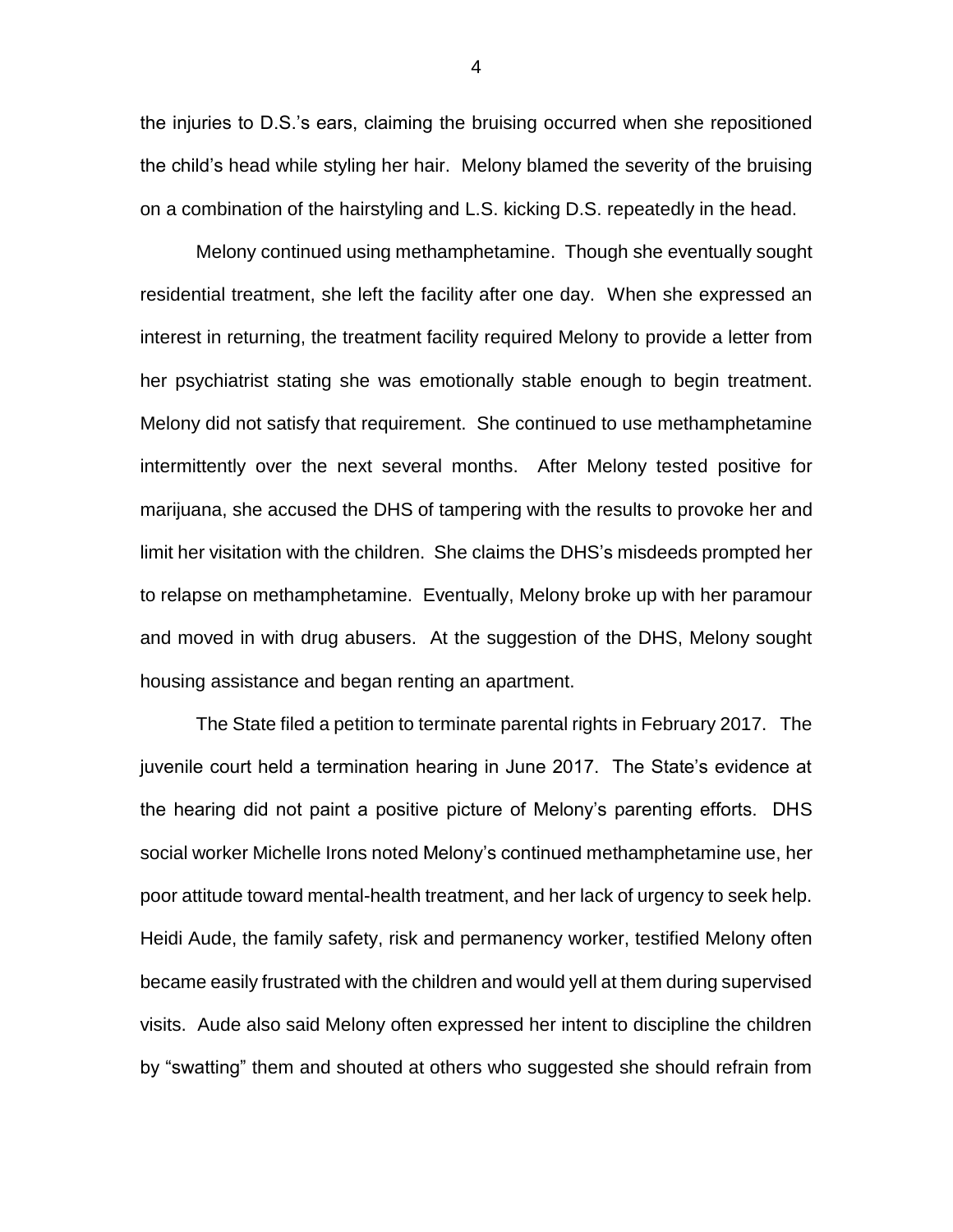the injuries to D.S.'s ears, claiming the bruising occurred when she repositioned the child's head while styling her hair. Melony blamed the severity of the bruising on a combination of the hairstyling and L.S. kicking D.S. repeatedly in the head.

Melony continued using methamphetamine. Though she eventually sought residential treatment, she left the facility after one day. When she expressed an interest in returning, the treatment facility required Melony to provide a letter from her psychiatrist stating she was emotionally stable enough to begin treatment. Melony did not satisfy that requirement. She continued to use methamphetamine intermittently over the next several months. After Melony tested positive for marijuana, she accused the DHS of tampering with the results to provoke her and limit her visitation with the children. She claims the DHS's misdeeds prompted her to relapse on methamphetamine. Eventually, Melony broke up with her paramour and moved in with drug abusers. At the suggestion of the DHS, Melony sought housing assistance and began renting an apartment.

The State filed a petition to terminate parental rights in February 2017. The juvenile court held a termination hearing in June 2017. The State's evidence at the hearing did not paint a positive picture of Melony's parenting efforts. DHS social worker Michelle Irons noted Melony's continued methamphetamine use, her poor attitude toward mental-health treatment, and her lack of urgency to seek help. Heidi Aude, the family safety, risk and permanency worker, testified Melony often became easily frustrated with the children and would yell at them during supervised visits. Aude also said Melony often expressed her intent to discipline the children by "swatting" them and shouted at others who suggested she should refrain from

4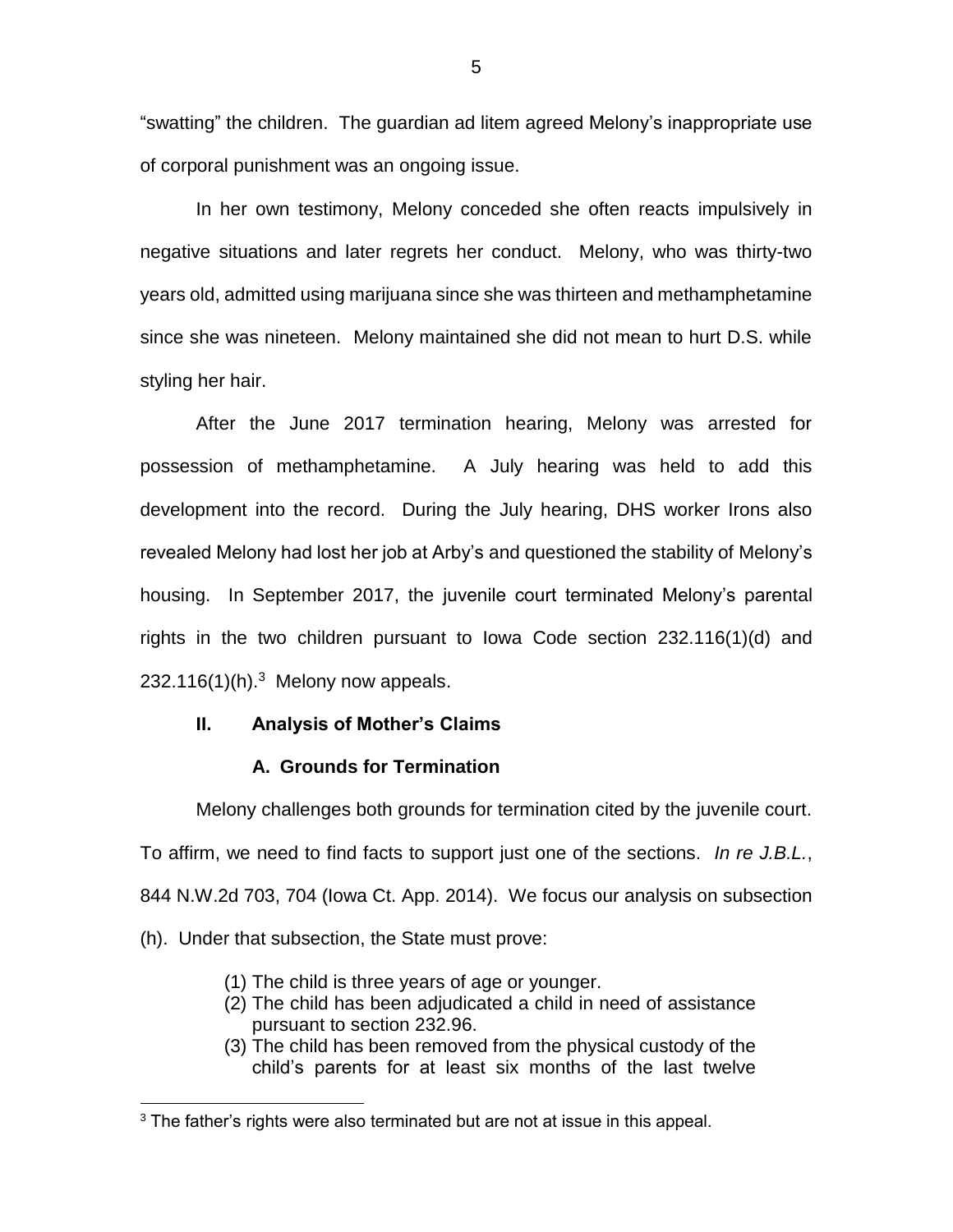"swatting" the children. The guardian ad litem agreed Melony's inappropriate use of corporal punishment was an ongoing issue.

In her own testimony, Melony conceded she often reacts impulsively in negative situations and later regrets her conduct. Melony, who was thirty-two years old, admitted using marijuana since she was thirteen and methamphetamine since she was nineteen. Melony maintained she did not mean to hurt D.S. while styling her hair.

After the June 2017 termination hearing, Melony was arrested for possession of methamphetamine. A July hearing was held to add this development into the record. During the July hearing, DHS worker Irons also revealed Melony had lost her job at Arby's and questioned the stability of Melony's housing. In September 2017, the juvenile court terminated Melony's parental rights in the two children pursuant to Iowa Code section 232.116(1)(d) and  $232.116(1)$ (h).<sup>3</sup> Melony now appeals.

# **II. Analysis of Mother's Claims**

 $\overline{a}$ 

# **A. Grounds for Termination**

Melony challenges both grounds for termination cited by the juvenile court. To affirm, we need to find facts to support just one of the sections. *In re J.B.L.*, 844 N.W.2d 703, 704 (Iowa Ct. App. 2014). We focus our analysis on subsection (h). Under that subsection, the State must prove:

- (1) The child is three years of age or younger.
- (2) The child has been adjudicated a child in need of assistance pursuant to section 232.96.
- (3) The child has been removed from the physical custody of the child's parents for at least six months of the last twelve

 $3$  The father's rights were also terminated but are not at issue in this appeal.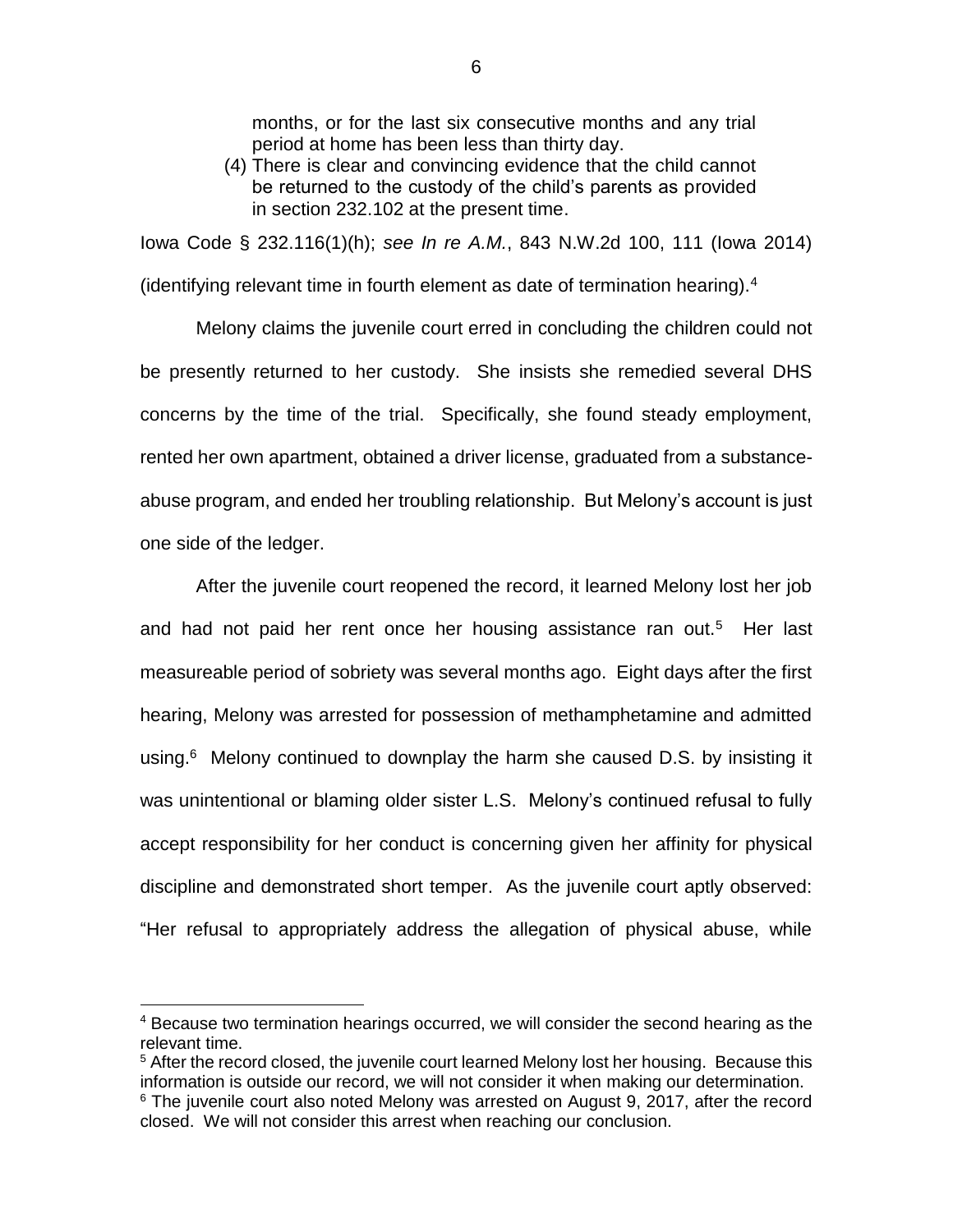months, or for the last six consecutive months and any trial period at home has been less than thirty day.

(4) There is clear and convincing evidence that the child cannot be returned to the custody of the child's parents as provided in section 232.102 at the present time.

Iowa Code § 232.116(1)(h); *see In re A.M.*, 843 N.W.2d 100, 111 (Iowa 2014) (identifying relevant time in fourth element as date of termination hearing).<sup>4</sup>

Melony claims the juvenile court erred in concluding the children could not be presently returned to her custody. She insists she remedied several DHS concerns by the time of the trial. Specifically, she found steady employment, rented her own apartment, obtained a driver license, graduated from a substanceabuse program, and ended her troubling relationship. But Melony's account is just one side of the ledger.

After the juvenile court reopened the record, it learned Melony lost her job and had not paid her rent once her housing assistance ran out.<sup>5</sup> Her last measureable period of sobriety was several months ago. Eight days after the first hearing, Melony was arrested for possession of methamphetamine and admitted using.<sup>6</sup> Melony continued to downplay the harm she caused D.S. by insisting it was unintentional or blaming older sister L.S. Melony's continued refusal to fully accept responsibility for her conduct is concerning given her affinity for physical discipline and demonstrated short temper. As the juvenile court aptly observed: "Her refusal to appropriately address the allegation of physical abuse, while

 $\overline{a}$ 

<sup>4</sup> Because two termination hearings occurred, we will consider the second hearing as the relevant time.

 $5$  After the record closed, the juvenile court learned Melony lost her housing. Because this information is outside our record, we will not consider it when making our determination.

<sup>&</sup>lt;sup>6</sup> The juvenile court also noted Melony was arrested on August 9, 2017, after the record closed. We will not consider this arrest when reaching our conclusion.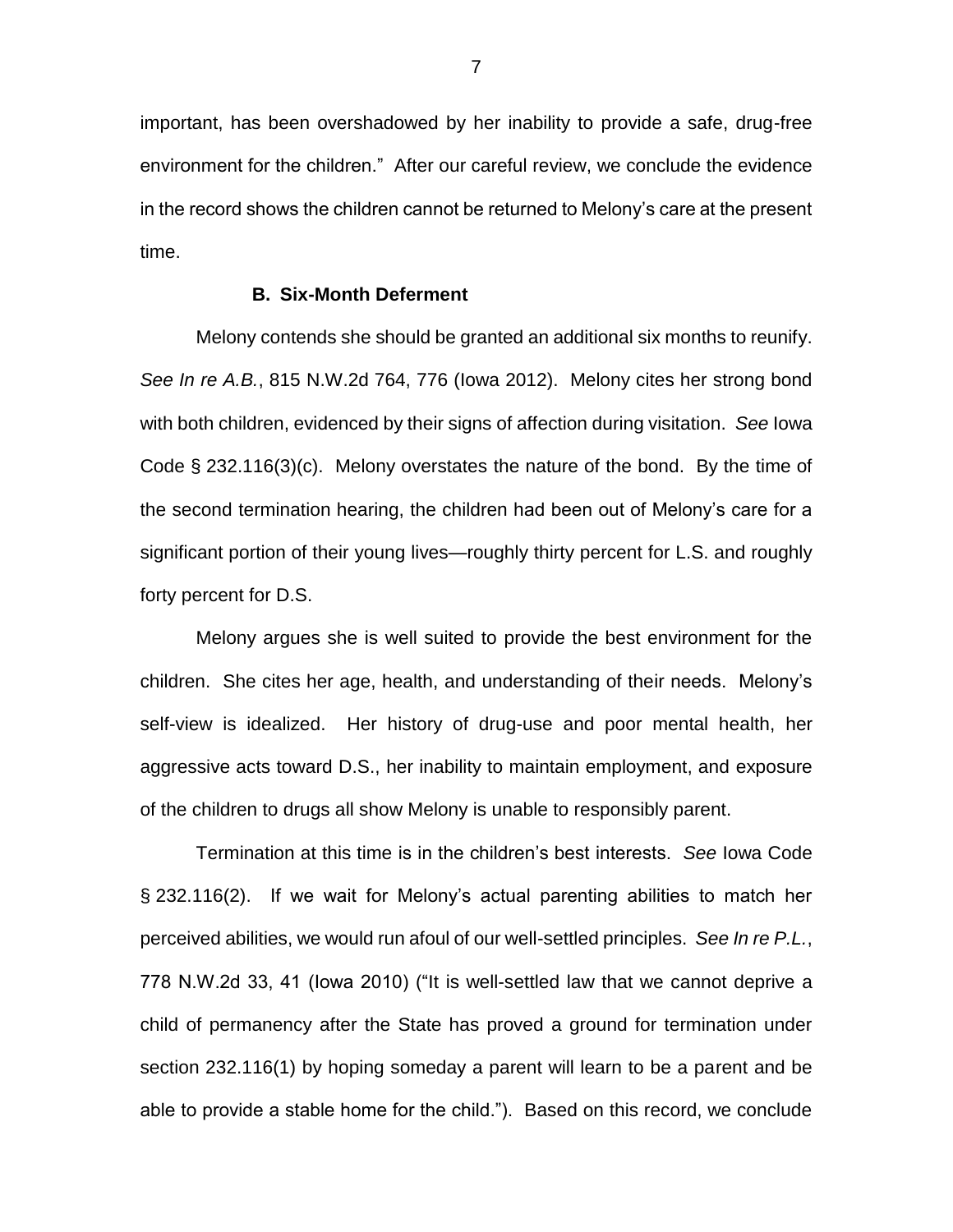important, has been overshadowed by her inability to provide a safe, drug-free environment for the children." After our careful review, we conclude the evidence in the record shows the children cannot be returned to Melony's care at the present time.

#### **B. Six-Month Deferment**

Melony contends she should be granted an additional six months to reunify. *See In re A.B.*, 815 N.W.2d 764, 776 (Iowa 2012). Melony cites her strong bond with both children, evidenced by their signs of affection during visitation. *See* Iowa Code § 232.116(3)(c). Melony overstates the nature of the bond. By the time of the second termination hearing, the children had been out of Melony's care for a significant portion of their young lives—roughly thirty percent for L.S. and roughly forty percent for D.S.

Melony argues she is well suited to provide the best environment for the children. She cites her age, health, and understanding of their needs. Melony's self-view is idealized. Her history of drug-use and poor mental health, her aggressive acts toward D.S., her inability to maintain employment, and exposure of the children to drugs all show Melony is unable to responsibly parent.

Termination at this time is in the children's best interests. *See* Iowa Code § 232.116(2). If we wait for Melony's actual parenting abilities to match her perceived abilities, we would run afoul of our well-settled principles. *See In re P.L.*, 778 N.W.2d 33, 41 (Iowa 2010) ("It is well-settled law that we cannot deprive a child of permanency after the State has proved a ground for termination under section 232.116(1) by hoping someday a parent will learn to be a parent and be able to provide a stable home for the child."). Based on this record, we conclude